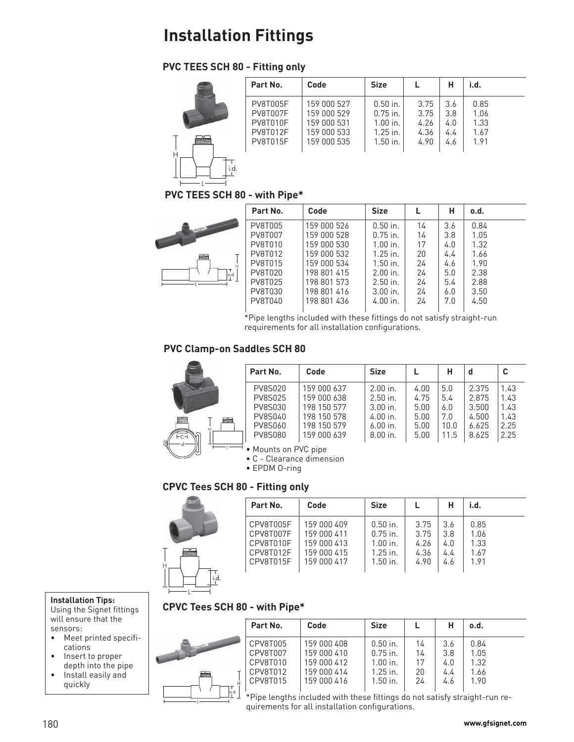# **PVC TEES SCH 80 - Fitting only**



| E | Part No.                                                   | Code                                                     | <b>Size</b>                                          |                              | н                        | i.d.                         |
|---|------------------------------------------------------------|----------------------------------------------------------|------------------------------------------------------|------------------------------|--------------------------|------------------------------|
| γ | <b>PV8T005F</b><br>PV8T007F<br>PV8T010F<br><b>PV8T012F</b> | 159 000 527<br>159 000 529<br>159 000 531<br>159 000 533 | $0.50$ in.<br>$0.75$ in.<br>$1.00$ in.<br>$1.25$ in. | 3.75<br>3.75<br>4.26<br>4.36 | 3.6<br>3.8<br>4.0<br>4.4 | 0.85<br>1.06<br>1.33<br>1.67 |
|   | <b>PV8T015F</b>                                            | 159 000 535                                              | $1.50$ in.                                           | 4.90                         | 4.6                      | 1.91                         |

**PVC TEES SCH 80 - with Pipe\***



|      | Part No.                  | Code                       | <b>Size</b>              |          | н          | o.d.         |  |
|------|---------------------------|----------------------------|--------------------------|----------|------------|--------------|--|
|      | PV8T005                   | 159 000 526                | $0.50$ in.               | 14       | 3.6        | 0.84         |  |
|      | <b>PV8T007</b><br>PV8T010 | 159 000 528<br>159 000 530 | $0.75$ in.<br>$1.00$ in. | 14<br>17 | 3.8<br>4.0 | 1.05<br>1.32 |  |
| ぞ    | PV8T012                   | 159 000 532                | $1.25$ in.               | 20       | 4.4        | 1.66         |  |
|      | PV8T015                   | 159 000 534                | $1.50$ in.               | 24       | 4.6        | 1.90         |  |
| o.d. | PV8T020                   | 198 801 415                | $2.00$ in.               | 24       | 5.0        | 2.38         |  |
|      | PV8T025                   | 198 801 573                | $2.50$ in.               | 24       | 5.4        | 2.88         |  |
|      | PV8T030                   | 198 801 416                | $3.00$ in.               | 24       | 6.0        | 3.50         |  |
|      | PV8T040                   | 198 801 436                | $4.00$ in.               | 24       | 7.0        | 4.50         |  |
|      |                           |                            |                          |          |            |              |  |

\*Pipe lengths included with these fittings do not satisfy straight-run requirements for all installation configurations.

## **PVC Clamp-on Saddles SCH 80**



|      | Part No.       | Code        | <b>Size</b> |      | н    |       |      |
|------|----------------|-------------|-------------|------|------|-------|------|
|      | <b>PV8S020</b> | 159 000 637 | $2.00$ in.  | 4.00 | 5.0  | 2.375 | 1.43 |
|      | <b>PV8S025</b> | 159 000 638 | $2.50$ in.  | 4.75 | 5.4  | 2.875 | 1.43 |
|      | <b>PV8S030</b> | 198 150 577 | $3.00$ in.  | 5.00 | 6.0  | 3.500 | 1.43 |
|      | <b>PV8S040</b> | 198 150 578 | $4.00$ in.  | 5.00 | 7.0  | 4.500 | 1.43 |
|      | PV8S060        | 198 150 579 | $6.00$ in.  | 5.00 | 10.0 | 6.625 | 2.25 |
| ralı | <b>PV8S080</b> | 159 000 639 | $8.00$ in.  | 5.00 | 11.5 | 8.625 | 2.25 |

• Mounts on PVC pipe

• C - Clearance dimension

• EPDM O-ring

### **CPVC Tees SCH 80 - Fitting only**

| Η |               |  |
|---|---------------|--|
|   | $\frac{1}{1}$ |  |

|   | Part No.                                         | Code                                                     | <b>Size</b>                                          |                              |                          | i.d.                         |
|---|--------------------------------------------------|----------------------------------------------------------|------------------------------------------------------|------------------------------|--------------------------|------------------------------|
| f | CPV8T005F<br>CPV8T007F<br>CPV8T010F<br>CPV8T012F | 159 000 409<br>159 000 411<br>159 000 413<br>159 000 415 | $0.50$ in.<br>$0.75$ in.<br>$1.00$ in.<br>$1.25$ in. | 3.75<br>3.75<br>4.26<br>4.36 | 3.6<br>3.8<br>4.0<br>4.4 | 0.85<br>1.06<br>1.33<br>1.67 |
|   | CPV8T015F                                        | 159 000 417                                              | $1.50$ in.                                           | 4.90                         | 4.6                      | 1.91                         |

### **CPVC Tees SCH 80 - with Pipe\***



will ensure that the sensors:

- Meet printed specifications
- Insert to proper depth into the pipe
- Install easily and quickly

|   | Part No. | Code        | <b>Size</b> |    | н   | 0.d. |
|---|----------|-------------|-------------|----|-----|------|
|   | CPV8T005 | 159 000 408 | $0.50$ in.  | 14 | 3.6 | 0.84 |
|   | CPV8T007 | 159 000 410 | $0.75$ in.  | 14 | 3.8 | 1.05 |
|   | CPV8T010 | 159 000 412 | $1.00$ in.  | 17 | 4.0 | 1.32 |
| ₩ | CPV8T012 | 159 000 414 | $1.25$ in.  | 20 | 4.4 | 1.66 |
|   | CPV8T015 | 159 000 416 | $1.50$ in.  | 24 | 4.6 | 1.90 |
|   |          |             |             |    |     |      |

\*Pipe lengths included with these fittings do not satisfy straight-run requirements for all installation configurations.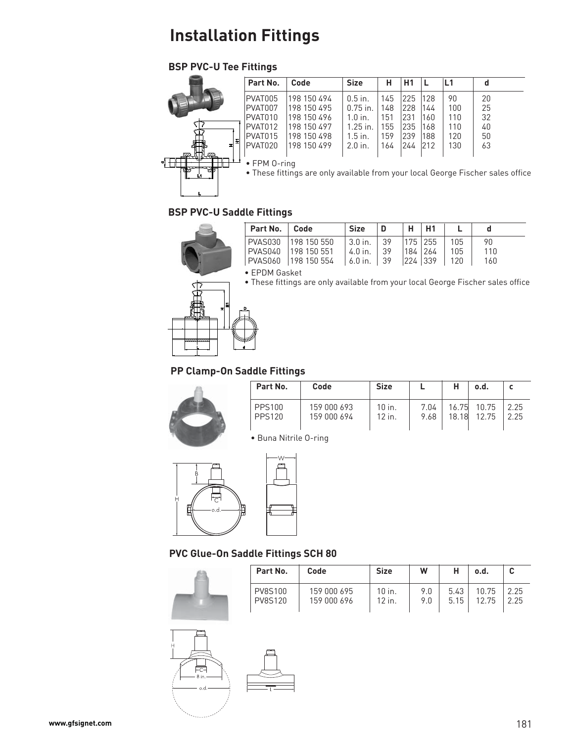# **BSP PVC-U Tee Fittings**

| • These fittings are only available from your local George Fischer sales off |
|------------------------------------------------------------------------------|
|                                                                              |

## **BSP PVC-U Saddle Fittings**



| Part No.   Code |                                                                                                        | <b>Size</b>                                                               | $\mathsf{D}$ | H   H1 |  |                  |  |
|-----------------|--------------------------------------------------------------------------------------------------------|---------------------------------------------------------------------------|--------------|--------|--|------------------|--|
|                 | PVAS030 198 150 550<br>PVAS040   198 150 551<br>PVAS060   198 150 554   6.0 in.   39   224   339   120 | $ 3.0 \text{ in.}   39   175   255   105$<br>$ 4.0$ in. $ 39 184 264 105$ |              |        |  | 90<br>110<br>160 |  |
|                 |                                                                                                        |                                                                           |              |        |  |                  |  |

• EPDM Gasket

• These fittings are only available from your local George Fischer sales office



# **PP Clamp-On Saddle Fittings**

| Part No.                       | Code                       | <b>Size</b>      |              |       | .o.d                 |              |
|--------------------------------|----------------------------|------------------|--------------|-------|----------------------|--------------|
| <b>PPS100</b><br><b>PPS120</b> | 159 000 693<br>159 000 694 | 10 in.<br>12 in. | 7.04<br>9.68 | 18.18 | 16.75 10.75<br>12.75 | 2.25<br>2.25 |

• Buna Nitrile O-ring



**PVC Glue-On Saddle Fittings SCH 80**



| Part No.       | Code        | <b>Size</b> | W   | н    | o.d.  |      |
|----------------|-------------|-------------|-----|------|-------|------|
| <b>PV8S100</b> | 159 000 695 | 10 in.      | 9.0 | 5.43 | 10.75 | 2.25 |
| <b>PV8S120</b> | 159 000 696 | 12 in.      | 9.0 | 5.15 | 12.75 | 2.25 |

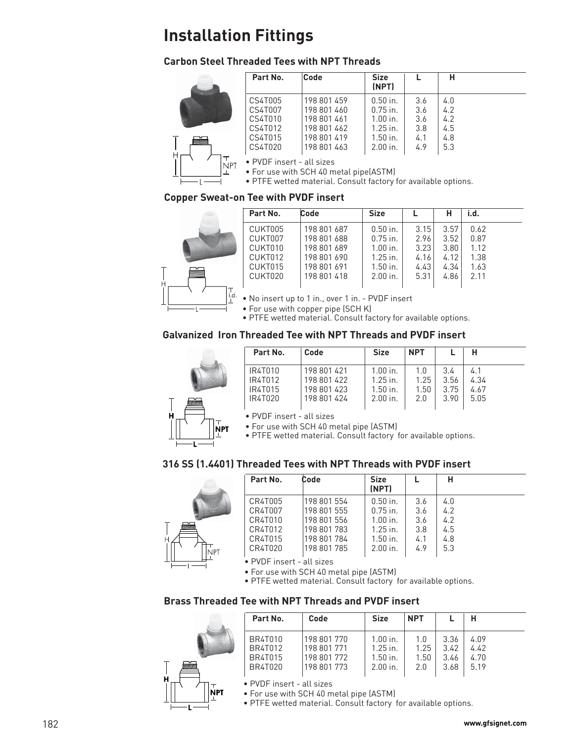## **Carbon Steel Threaded Tees with NPT Threads**



|    | Part No. | Code        | <b>Size</b><br>(NPT) |     | н   |
|----|----------|-------------|----------------------|-----|-----|
|    | CS4T005  | 198 801 459 | $0.50$ in.           | 3.6 | 4.0 |
|    | CS4T007  | 198 801 460 | $0.75$ in.           | 3.6 | 4.2 |
|    | CS4T010  | 198 801 461 | $1.00$ in.           | 3.6 | 4.2 |
|    | CS4T012  | 198 801 462 | $1.25$ in.           | 3.8 | 4.5 |
| ▆▆ | CS4T015  | 198 801 419 | $1.50$ in.           | 4.1 | 4.8 |
|    | CS4T020  | 198 801 463 | $2.00$ in.           | 4.9 | 5.3 |
|    |          |             |                      |     |     |

• PVDF insert - all sizes

• For use with SCH 40 metal pipe(ASTM)

• PTFE wetted material. Consult factory for available options.

### **Copper Sweat-on Tee with PVDF insert**



|   | Part No. | Code        | <b>Size</b> |      |      | i.d. |  |
|---|----------|-------------|-------------|------|------|------|--|
|   | CUKT005  | 198 801 687 | $0.50$ in.  | 3.15 | 3.57 | 0.62 |  |
|   | CUKT007  | 198 801 688 | $0.75$ in.  | 2.96 | 3.52 | 0.87 |  |
|   | CUKT010  | 198 801 689 | $1.00$ in.  | 3.23 | 3.80 | 1.12 |  |
|   | CUKT012  | 198 801 690 | $1.25$ in.  | 4.16 | 4.12 | 1.38 |  |
|   | CUKT015  | 198 801 691 | $1.50$ in.  | 4.43 | 4.34 | 1.63 |  |
| ▇ | CUKT020  | 198 801 418 | $2.00$ in.  | 5.31 | 4.86 | 2.11 |  |
|   |          |             |             |      |      |      |  |

• No insert up to 1 in., over 1 in. - PVDF insert

• For use with copper pipe (SCH K)

• PTFE wetted material. Consult factory for available options.

## **Galvanized Iron Threaded Tee with NPT Threads and PVDF insert**



|   | Part No. | Code        | <b>Size</b> | <b>NPT</b> |      | н    |  |
|---|----------|-------------|-------------|------------|------|------|--|
|   | IR4T010  | 198 801 421 | $1.00$ in.  | 1.0        | 3.4  |      |  |
|   | IR4T012  | 198 801 422 | $1.25$ in.  | 1.25       | 3.56 | 4.34 |  |
|   | IR4T015  | 198 801 423 | $1.50$ in.  | 1.50       | 3.75 | 4.67 |  |
| 当 | IR4T020  | 198 801 424 | $2.00$ in.  | 2.0        | 3.90 | 5.05 |  |
|   |          |             |             |            |      |      |  |

• PVDF insert - all sizes

• For use with SCH 40 metal pipe (ASTM)

• PTFE wetted material. Consult factory for available options.

### **316 SS (1.4401) Threaded Tees with NPT Threads with PVDF insert**



|      | Part No.         | Code        | <b>Size</b><br>(NPT) |     | н   |  |
|------|------------------|-------------|----------------------|-----|-----|--|
|      | CR4T005          | 198 801 554 | $0.50$ in.           | 3.6 | 4.0 |  |
|      | CR4T007          | 198 801 555 | $0.75$ in.           | 3.6 | 4.2 |  |
|      | CR4T010          | 198 801 556 | $1.00$ in.           | 3.6 | 4.2 |  |
|      | CR4T012          | 198 801 783 | $1.25$ in.           | 3.8 | 4.5 |  |
| н    | CR4T015          | 198 801 784 | $1.50$ in.           | 4.1 | 4.8 |  |
| Inpt | CR4T020          | 198 801 785 | $2.00$ in.           | 4.9 | 5.3 |  |
|      | $\sum_{i=1}^{n}$ | $\cdots$    |                      |     |     |  |

• PVDF insert - all sizes

• For use with SCH 40 metal pipe (ASTM)

• PTFE wetted material. Consult factory for available options.

### **Brass Threaded Tee with NPT Threads and PVDF insert**



|   | Part No. | Code        | <b>Size</b> | <b>NPT</b> |      | н    |
|---|----------|-------------|-------------|------------|------|------|
| ≝ | BR4T010  | 198 801 770 | $1.00$ in.  | 1.0        | 3.36 | 4.09 |
|   | BR4T012  | 198 801 771 | $1.25$ in.  | 1.25       | 3.42 | 4.42 |
|   | BR4T015  | 198 801 772 | $1.50$ in.  | 1.50       | 3.46 | 4.70 |
|   | BR4T020  | 198 801 773 | $2.00$ in.  | 2.0        | 3.68 | 5.19 |

• PVDF insert - all sizes

• For use with SCH 40 metal pipe (ASTM)

• PTFE wetted material. Consult factory for available options.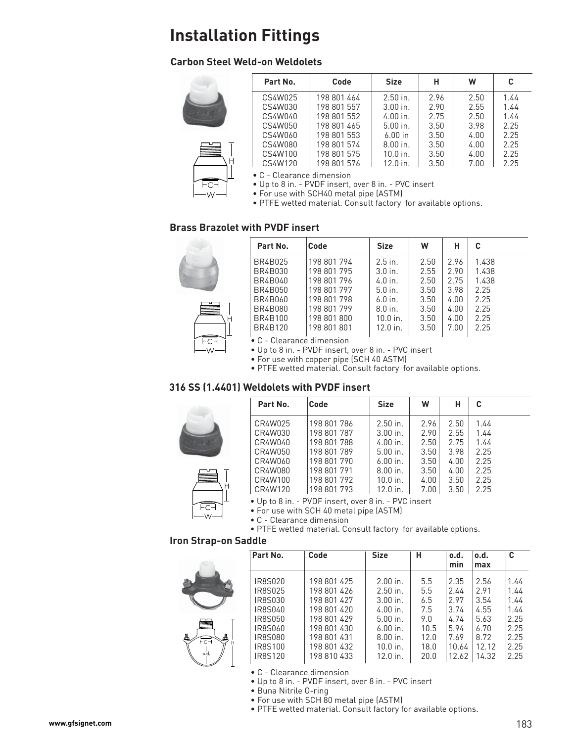## **Carbon Steel Weld-on Weldolets**



 $FC-I$ 

| Part No. | Code        | <b>Size</b> | н    | W    | C    |
|----------|-------------|-------------|------|------|------|
| CS4W025  | 198 801 464 | $2.50$ in.  | 2.96 | 2.50 | 1.44 |
| CS4W030  | 198 801 557 | $3.00$ in.  | 2.90 | 2.55 | 1.44 |
| CS4W040  | 198 801 552 | $4.00$ in.  | 2.75 | 2.50 | 1.44 |
| CS4W050  | 198 801 465 | $5.00$ in.  | 3.50 | 3.98 | 2.25 |
| CS4W060  | 198 801 553 | $6.00$ in   | 3.50 | 4.00 | 2.25 |
| CS4W080  | 198 801 574 | $8.00$ in.  | 3.50 | 4.00 | 2.25 |
| CS4W100  | 198 801 575 | $10.0$ in.  | 3.50 | 4.00 | 2.25 |
| CS4W120  | 198 801 576 | $12.0$ in.  | 3.50 | 7.00 | 2.25 |

• C - Clearance dimension

• Up to 8 in. - PVDF insert, over 8 in. - PVC insert

• For use with SCH40 metal pipe (ASTM)

• PTFE wetted material. Consult factory for available options.

### **Brass Brazolet with PVDF insert**



ŀс ١٨.

| Part No. | <b>Code</b> | <b>Size</b> | W    | н    | C     |
|----------|-------------|-------------|------|------|-------|
| BR4B025  | 198 801 794 | $2.5$ in.   | 2.50 | 2.96 | 1.438 |
| BR4B030  | 198 801 795 | $3.0$ in.   | 2.55 | 2.90 | 1.438 |
| BR4B040  | 198 801 796 | $4.0$ in.   | 2.50 | 2.75 | 1.438 |
| BR4B050  | 198 801 797 | $5.0$ in.   | 3.50 | 3.98 | 2.25  |
| BR4B060  | 198 801 798 | $6.0$ in.   | 3.50 | 4.00 | 2.25  |
| BR4B080  | 198 801 799 | $8.0$ in.   | 3.50 | 4.00 | 2.25  |
| BR4B100  | 198 801 800 | $10.0$ in.  | 3.50 | 4.00 | 2.25  |
| BR4B120  | 198 801 801 | $12.0$ in.  | 3.50 | 7.00 | 2.25  |
|          |             |             |      |      |       |

• C - Clearance dimension

• Up to 8 in. - PVDF insert, over 8 in. - PVC insert

• For use with copper pipe (SCH 40 ASTM)

• PTFE wetted material. Consult factory for available options.

### **316 SS (1.4401) Weldolets with PVDF insert**



 $FC-I$  $W$ 

| Part No.                   | Code                       | <b>Size</b>              | W            | н            | C            |  |
|----------------------------|----------------------------|--------------------------|--------------|--------------|--------------|--|
| CR4W025<br>CR4W030         | 198 801 786<br>198 801 787 | $2.50$ in.<br>$3.00$ in. | 2.96<br>2.90 | 2.50<br>2.55 | 1.44<br>1.44 |  |
| CR4W040<br>CR4W050         | 198 801 788<br>198 801 789 | $4.00$ in.<br>$5.00$ in. | 2.50<br>3.50 | 2.75<br>3.98 | 1.44<br>2.25 |  |
| CR4W060                    | 198 801 790                | $6.00$ in.               | 3.50         | 4.00         | 2.25         |  |
| CR4W080<br>CR4W100         | 198 801 791<br>198 801 792 | $8.00$ in.<br>$10.0$ in. | 3.50<br>4.00 | 4.00<br>3.50 | 2.25<br>2.25 |  |
| CR4W120<br>$-11 - 1 - 0 =$ | 198 801 793<br>DUPF:       | $12.0$ in.               | 7.00         | 3.50         | 2.25         |  |

• Up to 8 in. - PVDF insert, over 8 in. - PVC insert

• For use with SCH 40 metal pipe (ASTM)

• C - Clearance dimension

• PTFE wetted material. Consult factory for available options.

#### **Iron Strap-on Saddle**



|          | Part No.           | Code                       | <b>Size</b>              | н          | o.d.         | o.d.         | C            |
|----------|--------------------|----------------------------|--------------------------|------------|--------------|--------------|--------------|
|          |                    |                            |                          |            | min          | max          |              |
|          | IR8S020<br>IR8S025 | 198 801 425<br>198 801 426 | $2.00$ in.<br>$2.50$ in. | 5.5<br>5.5 | 2.35<br>2.44 | 2.56<br>2.91 | 1.44<br>1.44 |
|          | IR8S030<br>IR8S040 | 198 801 427<br>198 801 420 | $3.00$ in.<br>$4.00$ in. | 6.5<br>7.5 | 2.97<br>3.74 | 3.54<br>4.55 | 1.44<br>1.44 |
|          | IR8S050            | 198 801 429                | $5.00$ in.               | 9.0        | 4.74         | 5.63         | 2.25         |
|          | IR8S060            | 198 801 430                | $6.00$ in.               | 10.5       | 5.94         | 6.70         | 2.25         |
| 昷<br>FCF | IR8S080            | 198 801 431                | $8.00$ in.               | 12.0       | 7.69         | 8.72         | 2.25         |
|          | IR8S100            | 198 801 432                | $10.0$ in.               | 18.0       | 10.64        | 12.12        | 2.25         |
| o.d.     | IR8S120            | 198 810 433                | $12.0$ in.               | 20.0       | 12.62        | 14.32        | 2.25         |

- C Clearance dimension
- Up to 8 in. PVDF insert, over 8 in. PVC insert
- Buna Nitrile O-ring
- For use with SCH 80 metal pipe (ASTM)
- PTFE wetted material. Consult factory for available options.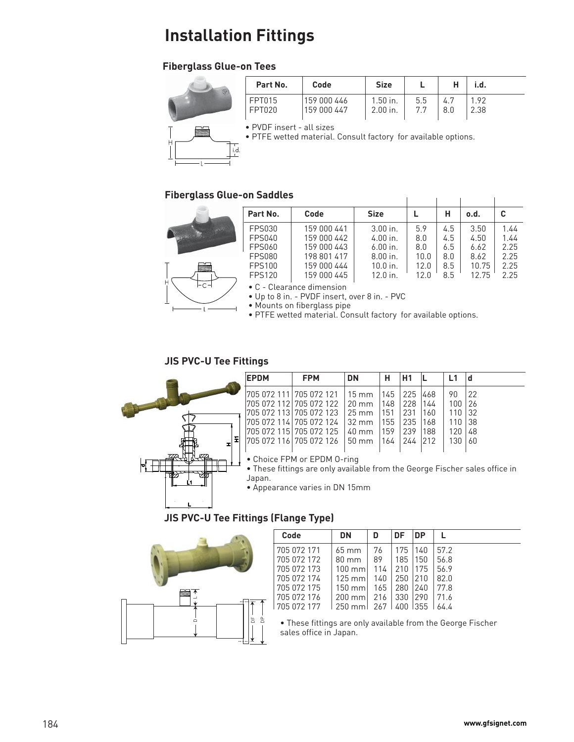# **Fiberglass Glue-on Tees**



| Part No. | Code        | <b>Size</b> |     |     | ı.d. |
|----------|-------------|-------------|-----|-----|------|
| FPT015   | 159 000 446 | $1.50$ in.  | 5.5 | 4.7 | 192  |
| FPT020   | 159 000 447 | 2.00 in.    | 77  | 8.0 | 2.38 |

• PVDF insert - all sizes

• PTFE wetted material. Consult factory for available options.

## **Fiberglass Glue-on Saddles**



| Part No.      | Code        | <b>Size</b> |      | н   | o.d.  |      |
|---------------|-------------|-------------|------|-----|-------|------|
| <b>FPS030</b> | 159 000 441 | $3.00$ in.  | 5.9  | 4.5 | 3.50  | 1.44 |
| <b>FPS040</b> | 159 000 442 | $4.00$ in.  | 8.0  | 4.5 | 4.50  | 1.44 |
| <b>FPS060</b> | 159 000 443 | $6.00$ in.  | 8.0  | 6.5 | 6.62  | 2.25 |
| <b>FPS080</b> | 198 801 417 | $8.00$ in.  | 10.0 | 8.0 | 8.62  | 2.25 |
| <b>FPS100</b> | 159 000 444 | $10.0$ in.  | 12.0 | 8.5 | 10.75 | 2.25 |
| <b>FPS120</b> | 159 000 445 | $12.0$ in.  | 12 በ | 8.5 | 12.75 | 2.25 |

• C - Clearance dimension

• Up to 8 in. - PVDF insert, over 8 in. - PVC

• Mounts on fiberglass pipe

• PTFE wetted material. Consult factory for available options.

## **JIS PVC-U Tee Fittings**



| <b>EPDM</b>              | <b>FPM</b>                                    | <b>DN</b>               | н    | H1              |      |     |     |
|--------------------------|-----------------------------------------------|-------------------------|------|-----------------|------|-----|-----|
| 1705 072 111 705 072 121 |                                               | 15 mm   145   225   468 |      |                 |      | 90  | 22  |
|                          | 705 072 112   705 072 122   20 mm   148   228 |                         |      |                 | 1144 | 100 | 26  |
| 1705 072 113 705 072 123 |                                               | 25 mm                   | 1151 | 231             | 160  | 110 | -32 |
|                          | 1705 072 114 705 072 124                      | i 32 mm                 |      | 155   235   168 |      | 110 | 38  |
|                          | 1705 072 1151705 072 125                      | i 40 mm                 | 159  | 239             | 1188 | 120 | 48  |
|                          | 1705 072 116 705 072 126                      | 50 mm                   | 1164 | 244 212         |      | 130 | -60 |
|                          |                                               |                         |      |                 |      |     |     |

• Choice FPM or EPDM O-ring

• These fittings are only available from the George Fischer sales office in Japan.

• Appearance varies in DN 15mm

## **JIS PVC-U Tee Fittings (Flange Type)**



| Code        | <b>DN</b>             | D   | DF  | DP   |      |
|-------------|-----------------------|-----|-----|------|------|
| 705 072 171 | $65 \, \mathrm{mm}$   | 76  | 175 | 140  | 57.2 |
| 705 072 172 | $80 \text{ mm}$       | 89  | 185 | 150  | 56.8 |
| 705 072 173 | $100 \text{ mm}$      | 114 | 210 | 175  | 56.9 |
| 705 072 174 | $125 \text{ mm}$      | 140 | 250 | 210  | 82.0 |
| 705 072 175 | 150 mm l              | 165 | 280 | 240  | 77.8 |
| 705 072 176 | $200$ mm $\textsf{I}$ | 216 | 330 | 290  | 71.6 |
| 705 072 177 | $250$ mm              | 267 |     | 1355 | 64 A |

• These fittings are only available from the George Fischer sales office in Japan.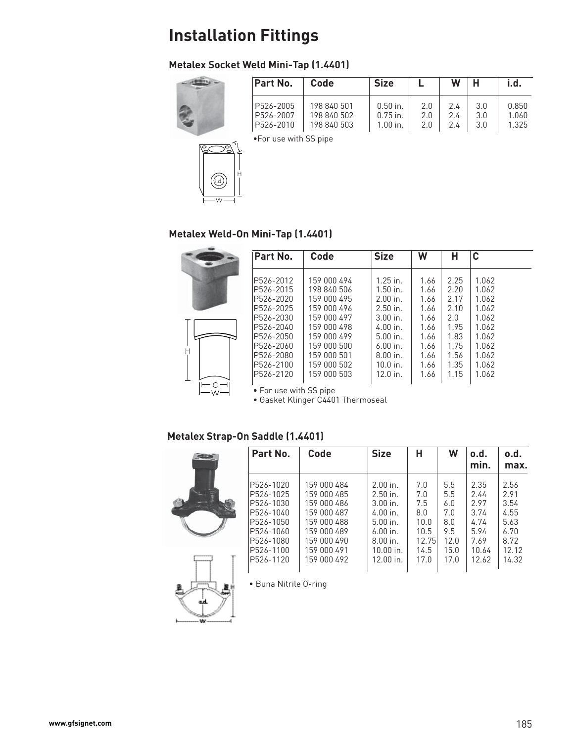# **Metalex Socket Weld Mini-Tap (1.4401)**



W

i.d.

| Part No.                            | Code                                      | <b>Size</b>                            |                   | W                    | н                 | i.d.                    |
|-------------------------------------|-------------------------------------------|----------------------------------------|-------------------|----------------------|-------------------|-------------------------|
| P526-2005<br>P526-2007<br>P526-2010 | 198 840 501<br>198 840 502<br>198 840 503 | $0.50$ in.<br>$0.75$ in.<br>$1.00$ in. | 2.0<br>2.0<br>2.0 | 2.4<br>$2.4^{\circ}$ | 3.0<br>3.0<br>3.0 | 0.850<br>1.060<br>1.325 |

•For use with SS pipe



H

L

|   | Part No.                | Code                       | <b>Size</b>              | W            | н            | C              |
|---|-------------------------|----------------------------|--------------------------|--------------|--------------|----------------|
|   | P526-2012<br>P526-2015  | 159 000 494                | $1.25$ in.               | 1.66         | 2.25         | 1.062          |
|   | P526-2020               | 198 840 506<br>159 000 495 | $1.50$ in.<br>$2.00$ in. | 1.66<br>1.66 | 2.20<br>2.17 | 1.062<br>1.062 |
|   | P526-2025<br>P526-2030  | 159 000 496<br>159 000 497 | $2.50$ in.<br>$3.00$ in. | 1.66<br>1.66 | 2.10<br>2.0  | 1.062<br>1.062 |
|   | P526-2040               | 159 000 498                | $4.00$ in.               | 1.66         | 1.95         | 1.062          |
|   | P526-2050<br>IP526-2060 | 159 000 499<br>159 000 500 | $5.00$ in.<br>$6.00$ in. | 1.66<br>1.66 | 1.83<br>1.75 | 1.062<br>1.062 |
| Н | P526-2080               | 159 000 501                | $8.00$ in.               | 1.66         | 1.56         | 1.062          |
|   | P526-2100<br>P526-2120  | 159 000 502<br>159 000 503 | $10.0$ in.<br>$12.0$ in. | 1.66<br>1.66 | 1.35<br>1.15 | 1.062<br>1.062 |
|   | • For use with SS pipe  |                            |                          |              |              |                |

• Gasket Klinger C4401 Thermoseal

## **Metalex Strap-On Saddle (1.4401)**





|          | Part No.   | Code        | <b>Size</b> | н     | W    | o.d.<br>min. | o.d.<br>max. |
|----------|------------|-------------|-------------|-------|------|--------------|--------------|
|          | P526-1020  | 159 000 484 | $2.00$ in.  | 7.0   | 5.5  | 2.35         | 2.56         |
|          | P526-1025  | 159 000 485 | $2.50$ in.  | 7.0   | 5.5  | 2.44         | 2.91         |
|          | P526-1030  | 159 000 486 | $3.00$ in   | 7.5   | 6.0  | 2.97         | 3.54         |
|          | P526-1040  | 159 000 487 | $4.00$ in.  | 8.0   | 7.0  | 3.74         | 4.55         |
|          | P526-1050  | 159 000 488 | $5.00$ in.  | 10.0  | 8.0  | 4.74         | 5.63         |
|          | P526-1060  | 159 000 489 | $6.00$ in.  | 10.5  | 9.5  | 5.94         | 6.70         |
|          | IP526-1080 | 159 000 490 | $8.00$ in.  | 12.75 | 12.0 | 7.69         | 8.72         |
| -------- | P526-1100  | 159 000 491 | $10.00$ in. | 14.5  | 15.0 | 10.64        | 12.12        |
|          | P526-1120  | 159 000 492 | $12.00$ in. | 17.0  | 17.0 | 12.62        | 14.32        |

• Buna Nitrile O-ring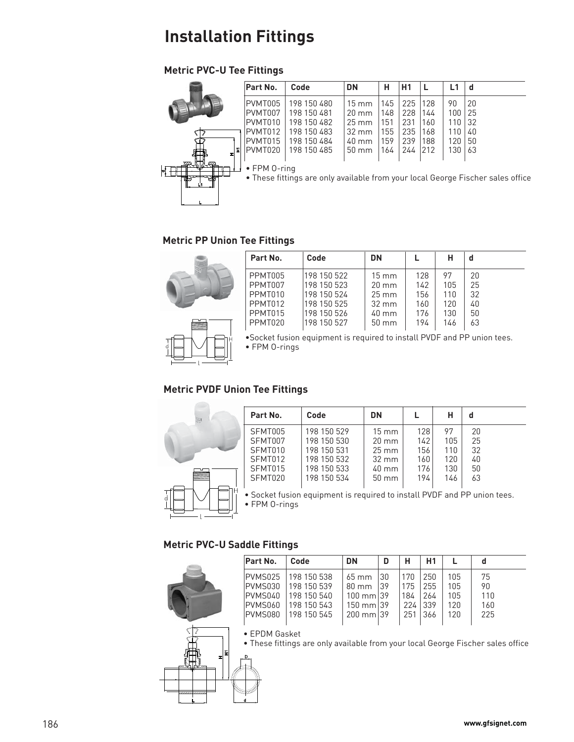# **Metric PVC-U Tee Fittings**

|    | Part No.     | Code        | <b>DN</b>       | н   | H1  |     | L1  | đ                                                                               |
|----|--------------|-------------|-----------------|-----|-----|-----|-----|---------------------------------------------------------------------------------|
|    | PVMT005      | 198 150 480 | $15 \text{ mm}$ | 145 | 225 | 128 | 90  | 20                                                                              |
|    | PVMT007      | 198 150 481 | $20 \text{ mm}$ | 148 | 228 | 144 | 100 | 25                                                                              |
|    | PVMT010      | 198 150 482 | $25 \text{ mm}$ | 151 | 231 | 160 | 110 | 32                                                                              |
|    | PVMT012      | 198 150 483 | 32 mm           | 155 | 235 | 168 | 110 | 40                                                                              |
|    | PVMT015      | 198 150 484 | 40 mm           | 159 | 239 | 188 | 120 | 50                                                                              |
| E  | PVMT020      | 198 150 485 | $50 \text{ mm}$ | 164 | 244 | 212 | 130 | 63                                                                              |
|    | • FPM 0-ring |             |                 |     |     |     |     |                                                                                 |
| Ľ1 |              |             |                 |     |     |     |     | • These fittings are only available from your local George Fischer sales office |
|    |              |             |                 |     |     |     |     |                                                                                 |

## **Metric PP Union Tee Fittings**



| Part No. | Code        | <b>DN</b>       |     | н   |    |
|----------|-------------|-----------------|-----|-----|----|
| PPMT005  | 198 150 522 | $15 \text{ mm}$ | 128 | 97  | 20 |
| PPMT007  | 198 150 523 | $20 \text{ mm}$ | 142 | 105 | 25 |
| PPMT010  | 198 150 524 | $25 \text{ mm}$ | 156 | 110 | 32 |
| PPMT012  | 198 150 525 | $32 \text{ mm}$ | 160 | 120 | 40 |
| PPMT015  | 198 150 526 | $40 \text{ mm}$ | 176 | 130 | 50 |
| PPMT020  | 198 150 527 | $50 \text{ mm}$ | 194 | 146 | 63 |

•Socket fusion equipment is required to install PVDF and PP union tees. • FPM O-rings

# **Metric PVDF Union Tee Fittings**



| Part No. | Code        | <b>DN</b>           |     | н   |    |
|----------|-------------|---------------------|-----|-----|----|
| SFMT005  | 198 150 529 | $15 \text{ mm}$     | 128 | 97  | 20 |
| SFMT007  | 198 150 530 | $20 \text{ mm}$     | 142 | 105 | 25 |
| SFMT010  | 198 150 531 | $25 \, \mathrm{mm}$ | 156 | 110 | 32 |
| SFMT012  | 198 150 532 | 32 mm               | 160 | 120 | 40 |
| SFMT015  | 198 150 533 | 40 mm               | 176 | 130 | 50 |
| SFMT020  | 198 150 534 | $50 \text{ mm}$     | 194 | 146 | 63 |
|          |             |                     |     |     |    |

• Socket fusion equipment is required to install PVDF and PP union tees. • FPM O-rings

### **Metric PVC-U Saddle Fittings**

| Part No.        | Code                | <b>DN</b>            | D  | н   | H1  |     |     |  |
|-----------------|---------------------|----------------------|----|-----|-----|-----|-----|--|
| IPVMS025        | 198 150 538         | $65 \text{ mm}$      | 30 | 170 | 250 | 105 | 75  |  |
|                 | PVMS030 198 150 539 | $80 \text{ mm}$      | 39 | 175 | 255 | 105 | 90  |  |
| IPVMS040        | 198 150 540         | $100 \text{ mm}$ 39  |    | 184 | 264 | 105 | 110 |  |
| PVMS060         | 198 150 543         | $150 \text{ mm}$ 139 |    | 224 | 339 | 120 | 160 |  |
|                 | PVMS080 198 150 545 | $200 \text{ mm}$ 39  |    | 251 | 366 | 120 | 225 |  |
|                 |                     |                      |    |     |     |     |     |  |
| $CDOMC = L + L$ |                     |                      |    |     |     |     |     |  |

• EPDM Gasket

• These fittings are only available from your local George Fischer sales office